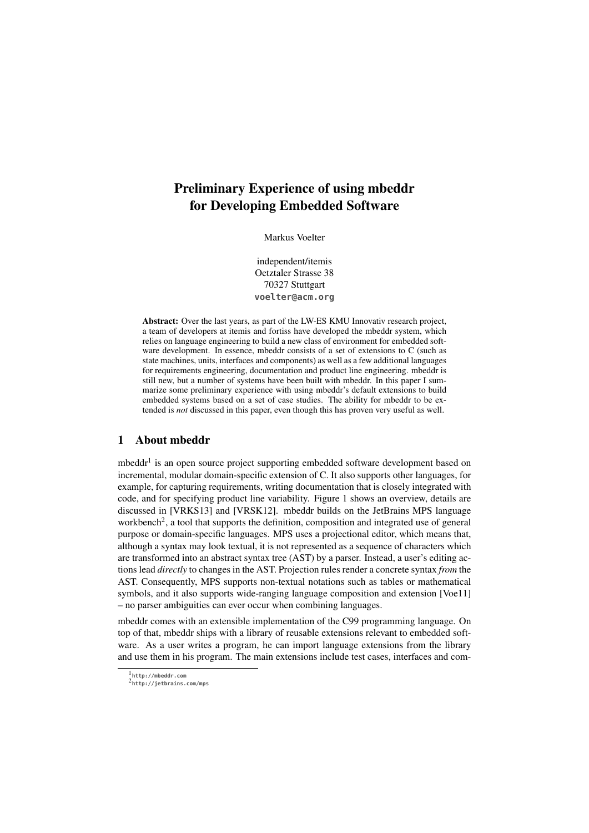# Preliminary Experience of using mbeddr for Developing Embedded Software

Markus Voelter

independent/itemis Oetztaler Strasse 38 70327 Stuttgart **voelter@acm.org**

Abstract: Over the last years, as part of the LW-ES KMU Innovativ research project, a team of developers at itemis and fortiss have developed the mbeddr system, which relies on language engineering to build a new class of environment for embedded software development. In essence, mbeddr consists of a set of extensions to C (such as state machines, units, interfaces and components) as well as a few additional languages for requirements engineering, documentation and product line engineering. mbeddr is still new, but a number of systems have been built with mbeddr. In this paper I summarize some preliminary experience with using mbeddr's default extensions to build embedded systems based on a set of case studies. The ability for mbeddr to be extended is *not* discussed in this paper, even though this has proven very useful as well.

# 1 About mbeddr

mbeddr<sup>1</sup> is an open source project supporting embedded software development based on incremental, modular domain-specific extension of C. It also supports other languages, for example, for capturing requirements, writing documentation that is closely integrated with code, and for specifying product line variability. Figure 1 shows an overview, details are discussed in [VRKS13] and [VRSK12]. mbeddr builds on the JetBrains MPS language workbench<sup>2</sup>, a tool that supports the definition, composition and integrated use of general purpose or domain-specific languages. MPS uses a projectional editor, which means that, although a syntax may look textual, it is not represented as a sequence of characters which are transformed into an abstract syntax tree (AST) by a parser. Instead, a user's editing actions lead *directly* to changes in the AST. Projection rules render a concrete syntax *from* the AST. Consequently, MPS supports non-textual notations such as tables or mathematical symbols, and it also supports wide-ranging language composition and extension [Voe11] – no parser ambiguities can ever occur when combining languages.

mbeddr comes with an extensible implementation of the C99 programming language. On top of that, mbeddr ships with a library of reusable extensions relevant to embedded software. As a user writes a program, he can import language extensions from the library and use them in his program. The main extensions include test cases, interfaces and com-

<sup>1</sup> **http://mbeddr.com**

<sup>2</sup> **http://jetbrains.com/mps**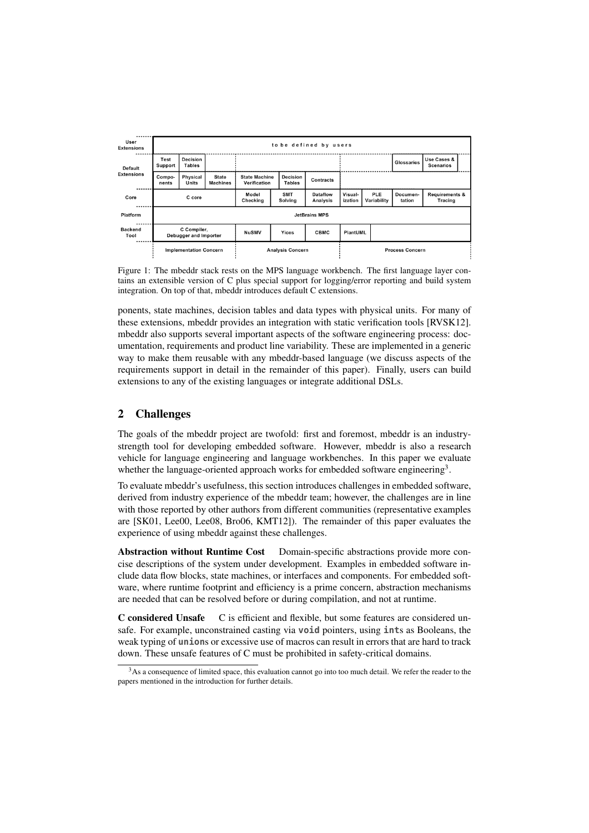| User<br><b>Extensions</b>           | to be defined by users                              |                               |                                 |                                      |                                  |                             |                        |                    |                    |                                             |
|-------------------------------------|-----------------------------------------------------|-------------------------------|---------------------------------|--------------------------------------|----------------------------------|-----------------------------|------------------------|--------------------|--------------------|---------------------------------------------|
| <b>Default</b><br><b>Extensions</b> | <b>Decision</b><br>Test<br><b>Tables</b><br>Support |                               |                                 |                                      |                                  |                             |                        |                    | <b>Glossaries</b>  | Use Cases &<br><b>Scenarios</b>             |
|                                     | Compo-<br>nents                                     | <b>Physical</b><br>Units      | <b>State</b><br><b>Machines</b> | <b>State Machine</b><br>Verification | <b>Decision</b><br><b>Tables</b> | Contracts                   |                        |                    |                    |                                             |
| Core                                | C core                                              |                               |                                 | Model<br>Checking                    | <b>SMT</b><br>Solving            | Dataflow<br><b>Analysis</b> | Visual-<br>ization     | PLE<br>Variability | Documen-<br>tation | <b>Requirements &amp;</b><br><b>Tracing</b> |
| Platform                            | <b>JetBrains MPS</b>                                |                               |                                 |                                      |                                  |                             |                        |                    |                    |                                             |
| <b>Backend</b><br>Tool              | C Compiler,<br>Debugger and Importer                |                               |                                 | <b>NuSMV</b>                         | Yices                            | <b>CBMC</b>                 | PlantUML               |                    |                    |                                             |
|                                     |                                                     | <b>Implementation Concern</b> |                                 | <b>Analysis Concern</b>              |                                  |                             | <b>Process Concern</b> |                    |                    |                                             |

Figure 1: The mbeddr stack rests on the MPS language workbench. The first language layer contains an extensible version of C plus special support for logging/error reporting and build system integration. On top of that, mbeddr introduces default C extensions.

ponents, state machines, decision tables and data types with physical units. For many of these extensions, mbeddr provides an integration with static verification tools [RVSK12]. mbeddr also supports several important aspects of the software engineering process: documentation, requirements and product line variability. These are implemented in a generic way to make them reusable with any mbeddr-based language (we discuss aspects of the requirements support in detail in the remainder of this paper). Finally, users can build extensions to any of the existing languages or integrate additional DSLs.

# 2 Challenges

The goals of the mbeddr project are twofold: first and foremost, mbeddr is an industrystrength tool for developing embedded software. However, mbeddr is also a research vehicle for language engineering and language workbenches. In this paper we evaluate whether the language-oriented approach works for embedded software engineering<sup>3</sup>.

To evaluate mbeddr's usefulness, this section introduces challenges in embedded software, derived from industry experience of the mbeddr team; however, the challenges are in line with those reported by other authors from different communities (representative examples are [SK01, Lee00, Lee08, Bro06, KMT12]). The remainder of this paper evaluates the experience of using mbeddr against these challenges.

Abstraction without Runtime Cost Domain-specific abstractions provide more concise descriptions of the system under development. Examples in embedded software include data flow blocks, state machines, or interfaces and components. For embedded software, where runtime footprint and efficiency is a prime concern, abstraction mechanisms are needed that can be resolved before or during compilation, and not at runtime.

C considered Unsafe C is efficient and flexible, but some features are considered unsafe. For example, unconstrained casting via **void** pointers, using **int**s as Booleans, the weak typing of **union**s or excessive use of macros can result in errors that are hard to track down. These unsafe features of C must be prohibited in safety-critical domains.

 $3$ As a consequence of limited space, this evaluation cannot go into too much detail. We refer the reader to the papers mentioned in the introduction for further details.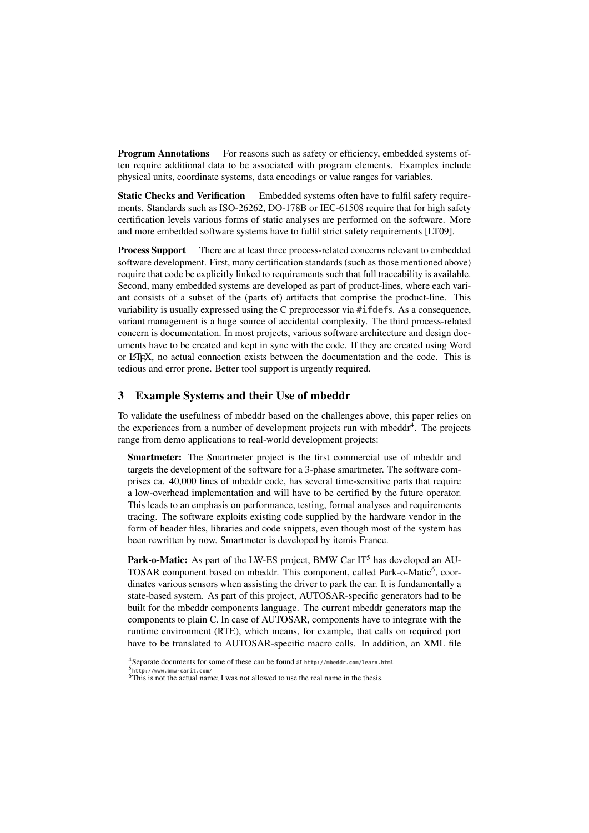**Program Annotations** For reasons such as safety or efficiency, embedded systems often require additional data to be associated with program elements. Examples include physical units, coordinate systems, data encodings or value ranges for variables.

**Static Checks and Verification** Embedded systems often have to fulfil safety requirements. Standards such as ISO-26262, DO-178B or IEC-61508 require that for high safety certification levels various forms of static analyses are performed on the software. More and more embedded software systems have to fulfil strict safety requirements [LT09].

Process Support There are at least three process-related concerns relevant to embedded software development. First, many certification standards (such as those mentioned above) require that code be explicitly linked to requirements such that full traceability is available. Second, many embedded systems are developed as part of product-lines, where each variant consists of a subset of the (parts of) artifacts that comprise the product-line. This variability is usually expressed using the C preprocessor via **#ifdef**s. As a consequence, variant management is a huge source of accidental complexity. The third process-related concern is documentation. In most projects, various software architecture and design documents have to be created and kept in sync with the code. If they are created using Word or LATEX, no actual connection exists between the documentation and the code. This is tedious and error prone. Better tool support is urgently required.

### 3 Example Systems and their Use of mbeddr

To validate the usefulness of mbeddr based on the challenges above, this paper relies on the experiences from a number of development projects run with mbeddr<sup>4</sup>. The projects range from demo applications to real-world development projects:

Smartmeter: The Smartmeter project is the first commercial use of mbeddr and targets the development of the software for a 3-phase smartmeter. The software comprises ca. 40,000 lines of mbeddr code, has several time-sensitive parts that require a low-overhead implementation and will have to be certified by the future operator. This leads to an emphasis on performance, testing, formal analyses and requirements tracing. The software exploits existing code supplied by the hardware vendor in the form of header files, libraries and code snippets, even though most of the system has been rewritten by now. Smartmeter is developed by itemis France.

Park-o-Matic: As part of the LW-ES project, BMW Car IT<sup>5</sup> has developed an AU-TOSAR component based on mbeddr. This component, called Park-o-Matic<sup>6</sup>, coordinates various sensors when assisting the driver to park the car. It is fundamentally a state-based system. As part of this project, AUTOSAR-specific generators had to be built for the mbeddr components language. The current mbeddr generators map the components to plain C. In case of AUTOSAR, components have to integrate with the runtime environment (RTE), which means, for example, that calls on required port have to be translated to AUTOSAR-specific macro calls. In addition, an XML file

<sup>4</sup>Separate documents for some of these can be found at **http://mbeddr.com/learn.html**

<sup>5</sup> **http://www.bmw-carit.com/**

<sup>6</sup>This is not the actual name; I was not allowed to use the real name in the thesis.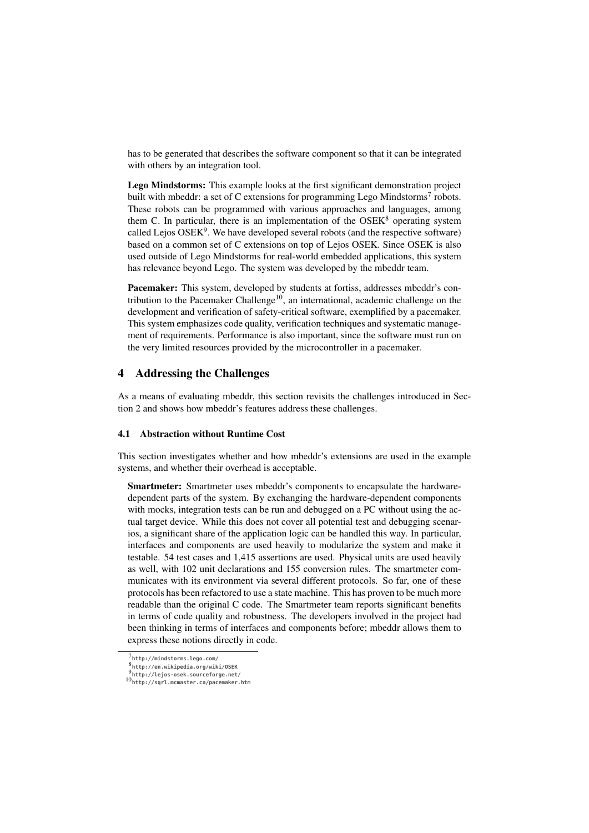has to be generated that describes the software component so that it can be integrated with others by an integration tool.

Lego Mindstorms: This example looks at the first significant demonstration project built with mbeddr: a set of C extensions for programming Lego Mindstorms<sup>7</sup> robots. These robots can be programmed with various approaches and languages, among them C. In particular, there is an implementation of the  $OSEK<sup>8</sup>$  operating system called Lejos  $OSEK<sup>9</sup>$ . We have developed several robots (and the respective software) based on a common set of C extensions on top of Lejos OSEK. Since OSEK is also used outside of Lego Mindstorms for real-world embedded applications, this system has relevance beyond Lego. The system was developed by the mbeddr team.

Pacemaker: This system, developed by students at fortiss, addresses mbeddr's contribution to the Pacemaker Challenge<sup>10</sup>, an international, academic challenge on the development and verification of safety-critical software, exemplified by a pacemaker. This system emphasizes code quality, verification techniques and systematic management of requirements. Performance is also important, since the software must run on the very limited resources provided by the microcontroller in a pacemaker.

#### 4 Addressing the Challenges

As a means of evaluating mbeddr, this section revisits the challenges introduced in Section 2 and shows how mbeddr's features address these challenges.

#### 4.1 Abstraction without Runtime Cost

This section investigates whether and how mbeddr's extensions are used in the example systems, and whether their overhead is acceptable.

Smartmeter: Smartmeter uses mbeddr's components to encapsulate the hardwaredependent parts of the system. By exchanging the hardware-dependent components with mocks, integration tests can be run and debugged on a PC without using the actual target device. While this does not cover all potential test and debugging scenarios, a significant share of the application logic can be handled this way. In particular, interfaces and components are used heavily to modularize the system and make it testable. 54 test cases and 1,415 assertions are used. Physical units are used heavily as well, with 102 unit declarations and 155 conversion rules. The smartmeter communicates with its environment via several different protocols. So far, one of these protocols has been refactored to use a state machine. This has proven to be much more readable than the original C code. The Smartmeter team reports significant benefits in terms of code quality and robustness. The developers involved in the project had been thinking in terms of interfaces and components before; mbeddr allows them to express these notions directly in code.

<sup>7</sup> **http://mindstorms.lego.com/**

<sup>8</sup> **http://en.wikipedia.org/wiki/OSEK**

<sup>9</sup> **http://lejos-osek.sourceforge.net/**

<sup>10</sup>**http://sqrl.mcmaster.ca/pacemaker.htm**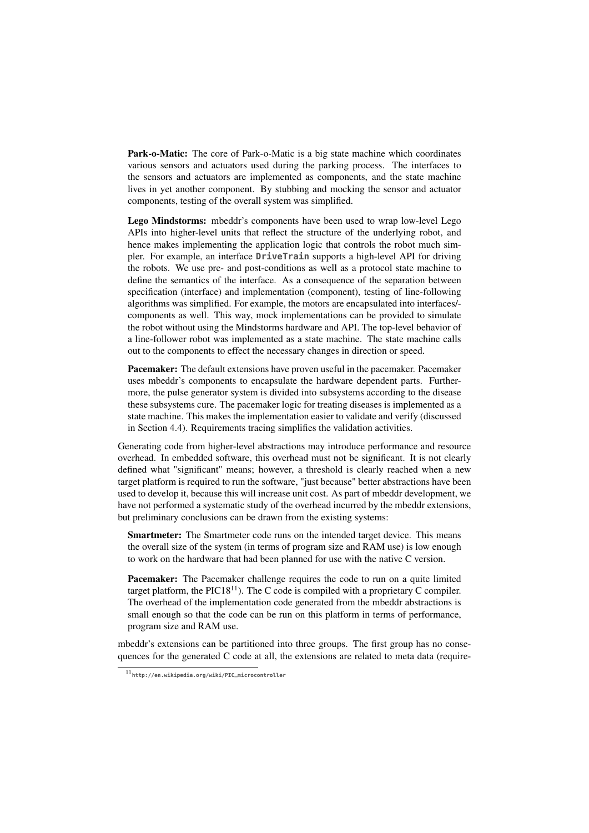Park-o-Matic: The core of Park-o-Matic is a big state machine which coordinates various sensors and actuators used during the parking process. The interfaces to the sensors and actuators are implemented as components, and the state machine lives in yet another component. By stubbing and mocking the sensor and actuator components, testing of the overall system was simplified.

Lego Mindstorms: mbeddr's components have been used to wrap low-level Lego APIs into higher-level units that reflect the structure of the underlying robot, and hence makes implementing the application logic that controls the robot much simpler. For example, an interface **DriveTrain** supports a high-level API for driving the robots. We use pre- and post-conditions as well as a protocol state machine to define the semantics of the interface. As a consequence of the separation between specification (interface) and implementation (component), testing of line-following algorithms was simplified. For example, the motors are encapsulated into interfaces/ components as well. This way, mock implementations can be provided to simulate the robot without using the Mindstorms hardware and API. The top-level behavior of a line-follower robot was implemented as a state machine. The state machine calls out to the components to effect the necessary changes in direction or speed.

Pacemaker: The default extensions have proven useful in the pacemaker. Pacemaker uses mbeddr's components to encapsulate the hardware dependent parts. Furthermore, the pulse generator system is divided into subsystems according to the disease these subsystems cure. The pacemaker logic for treating diseases is implemented as a state machine. This makes the implementation easier to validate and verify (discussed in Section 4.4). Requirements tracing simplifies the validation activities.

Generating code from higher-level abstractions may introduce performance and resource overhead. In embedded software, this overhead must not be significant. It is not clearly defined what "significant" means; however, a threshold is clearly reached when a new target platform is required to run the software, "just because" better abstractions have been used to develop it, because this will increase unit cost. As part of mbeddr development, we have not performed a systematic study of the overhead incurred by the mbeddr extensions, but preliminary conclusions can be drawn from the existing systems:

Smartmeter: The Smartmeter code runs on the intended target device. This means the overall size of the system (in terms of program size and RAM use) is low enough to work on the hardware that had been planned for use with the native C version.

Pacemaker: The Pacemaker challenge requires the code to run on a quite limited target platform, the  $\text{PlC}18^{11}$ ). The C code is compiled with a proprietary C compiler. The overhead of the implementation code generated from the mbeddr abstractions is small enough so that the code can be run on this platform in terms of performance, program size and RAM use.

mbeddr's extensions can be partitioned into three groups. The first group has no consequences for the generated C code at all, the extensions are related to meta data (require-

<sup>11</sup>**http://en.wikipedia.org/wiki/PIC\_microcontroller**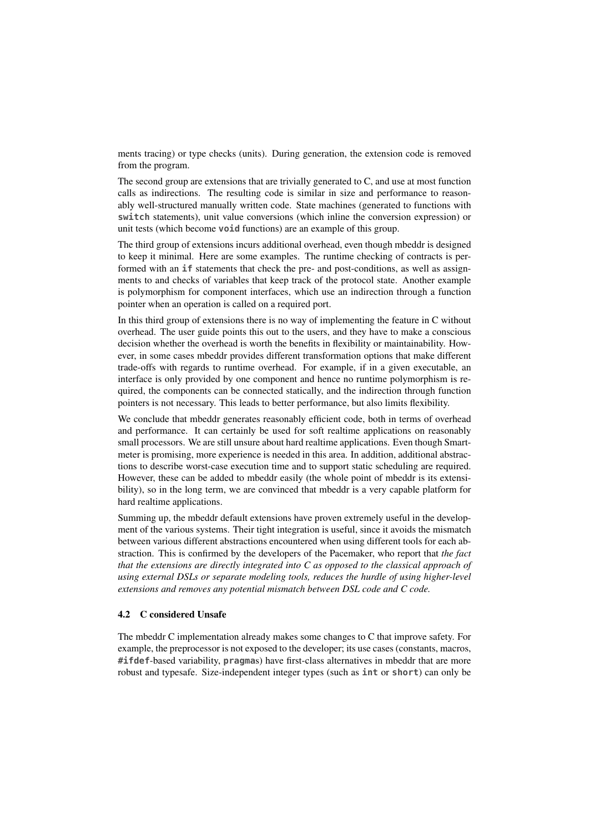ments tracing) or type checks (units). During generation, the extension code is removed from the program.

The second group are extensions that are trivially generated to C, and use at most function calls as indirections. The resulting code is similar in size and performance to reasonably well-structured manually written code. State machines (generated to functions with **switch** statements), unit value conversions (which inline the conversion expression) or unit tests (which become **void** functions) are an example of this group.

The third group of extensions incurs additional overhead, even though mbeddr is designed to keep it minimal. Here are some examples. The runtime checking of contracts is performed with an **if** statements that check the pre- and post-conditions, as well as assignments to and checks of variables that keep track of the protocol state. Another example is polymorphism for component interfaces, which use an indirection through a function pointer when an operation is called on a required port.

In this third group of extensions there is no way of implementing the feature in C without overhead. The user guide points this out to the users, and they have to make a conscious decision whether the overhead is worth the benefits in flexibility or maintainability. However, in some cases mbeddr provides different transformation options that make different trade-offs with regards to runtime overhead. For example, if in a given executable, an interface is only provided by one component and hence no runtime polymorphism is required, the components can be connected statically, and the indirection through function pointers is not necessary. This leads to better performance, but also limits flexibility.

We conclude that mbeddr generates reasonably efficient code, both in terms of overhead and performance. It can certainly be used for soft realtime applications on reasonably small processors. We are still unsure about hard realtime applications. Even though Smartmeter is promising, more experience is needed in this area. In addition, additional abstractions to describe worst-case execution time and to support static scheduling are required. However, these can be added to mbeddr easily (the whole point of mbeddr is its extensibility), so in the long term, we are convinced that mbeddr is a very capable platform for hard realtime applications.

Summing up, the mbeddr default extensions have proven extremely useful in the development of the various systems. Their tight integration is useful, since it avoids the mismatch between various different abstractions encountered when using different tools for each abstraction. This is confirmed by the developers of the Pacemaker, who report that *the fact that the extensions are directly integrated into C as opposed to the classical approach of using external DSLs or separate modeling tools, reduces the hurdle of using higher-level extensions and removes any potential mismatch between DSL code and C code.*

# 4.2 C considered Unsafe

The mbeddr C implementation already makes some changes to C that improve safety. For example, the preprocessor is not exposed to the developer; its use cases (constants, macros, **#ifdef**-based variability, **pragma**s) have first-class alternatives in mbeddr that are more robust and typesafe. Size-independent integer types (such as **int** or **short**) can only be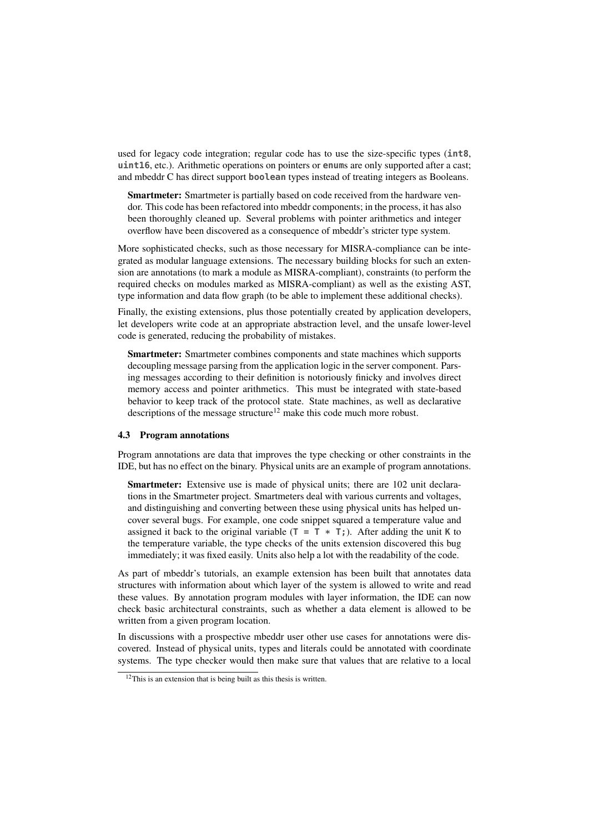used for legacy code integration; regular code has to use the size-specific types (**int8**, **uint16**, etc.). Arithmetic operations on pointers or **enum**s are only supported after a cast; and mbeddr C has direct support **boolean** types instead of treating integers as Booleans.

Smartmeter: Smartmeter is partially based on code received from the hardware vendor. This code has been refactored into mbeddr components; in the process, it has also been thoroughly cleaned up. Several problems with pointer arithmetics and integer overflow have been discovered as a consequence of mbeddr's stricter type system.

More sophisticated checks, such as those necessary for MISRA-compliance can be integrated as modular language extensions. The necessary building blocks for such an extension are annotations (to mark a module as MISRA-compliant), constraints (to perform the required checks on modules marked as MISRA-compliant) as well as the existing AST, type information and data flow graph (to be able to implement these additional checks).

Finally, the existing extensions, plus those potentially created by application developers, let developers write code at an appropriate abstraction level, and the unsafe lower-level code is generated, reducing the probability of mistakes.

Smartmeter: Smartmeter combines components and state machines which supports decoupling message parsing from the application logic in the server component. Parsing messages according to their definition is notoriously finicky and involves direct memory access and pointer arithmetics. This must be integrated with state-based behavior to keep track of the protocol state. State machines, as well as declarative descriptions of the message structure<sup>12</sup> make this code much more robust.

#### 4.3 Program annotations

Program annotations are data that improves the type checking or other constraints in the IDE, but has no effect on the binary. Physical units are an example of program annotations.

Smartmeter: Extensive use is made of physical units; there are 102 unit declarations in the Smartmeter project. Smartmeters deal with various currents and voltages, and distinguishing and converting between these using physical units has helped uncover several bugs. For example, one code snippet squared a temperature value and assigned it back to the original variable  $(T = T * T)$ . After adding the unit **K** to the temperature variable, the type checks of the units extension discovered this bug immediately; it was fixed easily. Units also help a lot with the readability of the code.

As part of mbeddr's tutorials, an example extension has been built that annotates data structures with information about which layer of the system is allowed to write and read these values. By annotation program modules with layer information, the IDE can now check basic architectural constraints, such as whether a data element is allowed to be written from a given program location.

In discussions with a prospective mbeddr user other use cases for annotations were discovered. Instead of physical units, types and literals could be annotated with coordinate systems. The type checker would then make sure that values that are relative to a local

<sup>&</sup>lt;sup>12</sup>This is an extension that is being built as this thesis is written.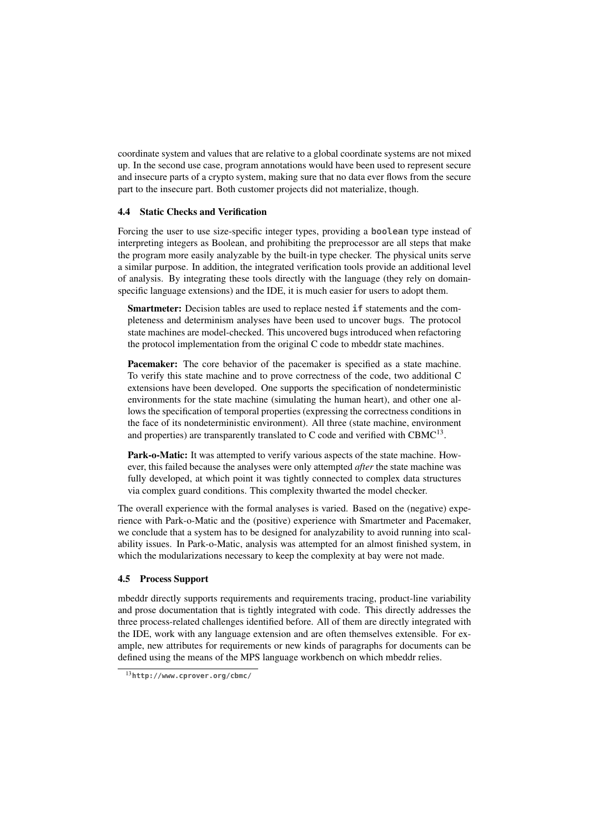coordinate system and values that are relative to a global coordinate systems are not mixed up. In the second use case, program annotations would have been used to represent secure and insecure parts of a crypto system, making sure that no data ever flows from the secure part to the insecure part. Both customer projects did not materialize, though.

#### 4.4 Static Checks and Verification

Forcing the user to use size-specific integer types, providing a **boolean** type instead of interpreting integers as Boolean, and prohibiting the preprocessor are all steps that make the program more easily analyzable by the built-in type checker. The physical units serve a similar purpose. In addition, the integrated verification tools provide an additional level of analysis. By integrating these tools directly with the language (they rely on domainspecific language extensions) and the IDE, it is much easier for users to adopt them.

Smartmeter: Decision tables are used to replace nested **if** statements and the completeness and determinism analyses have been used to uncover bugs. The protocol state machines are model-checked. This uncovered bugs introduced when refactoring the protocol implementation from the original C code to mbeddr state machines.

Pacemaker: The core behavior of the pacemaker is specified as a state machine. To verify this state machine and to prove correctness of the code, two additional C extensions have been developed. One supports the specification of nondeterministic environments for the state machine (simulating the human heart), and other one allows the specification of temporal properties (expressing the correctness conditions in the face of its nondeterministic environment). All three (state machine, environment and properties) are transparently translated to  $C$  code and verified with  $CBMC^{13}$ .

Park-o-Matic: It was attempted to verify various aspects of the state machine. However, this failed because the analyses were only attempted *after* the state machine was fully developed, at which point it was tightly connected to complex data structures via complex guard conditions. This complexity thwarted the model checker.

The overall experience with the formal analyses is varied. Based on the (negative) experience with Park-o-Matic and the (positive) experience with Smartmeter and Pacemaker, we conclude that a system has to be designed for analyzability to avoid running into scalability issues. In Park-o-Matic, analysis was attempted for an almost finished system, in which the modularizations necessary to keep the complexity at bay were not made.

#### 4.5 Process Support

mbeddr directly supports requirements and requirements tracing, product-line variability and prose documentation that is tightly integrated with code. This directly addresses the three process-related challenges identified before. All of them are directly integrated with the IDE, work with any language extension and are often themselves extensible. For example, new attributes for requirements or new kinds of paragraphs for documents can be defined using the means of the MPS language workbench on which mbeddr relies.

<sup>13</sup>**http://www.cprover.org/cbmc/**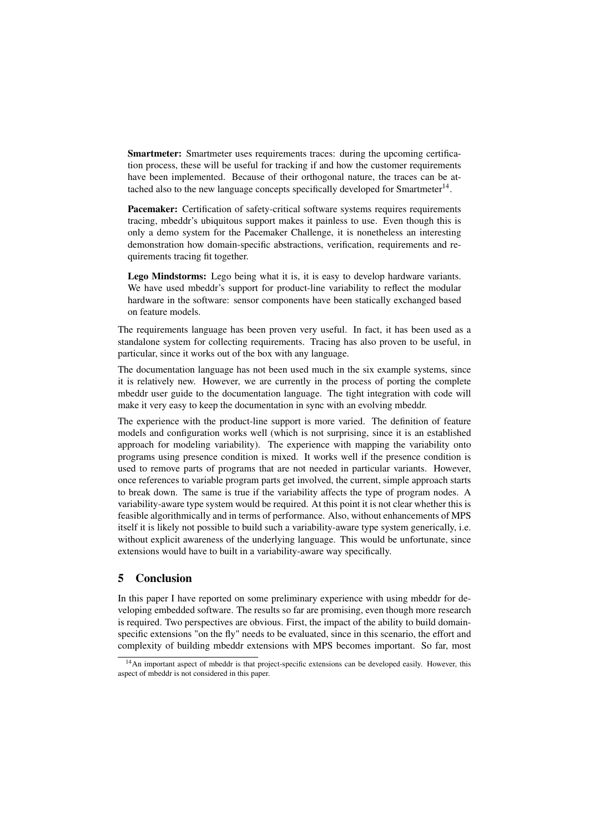Smartmeter: Smartmeter uses requirements traces: during the upcoming certification process, these will be useful for tracking if and how the customer requirements have been implemented. Because of their orthogonal nature, the traces can be attached also to the new language concepts specifically developed for Smartmeter<sup>14</sup>.

Pacemaker: Certification of safety-critical software systems requires requirements tracing, mbeddr's ubiquitous support makes it painless to use. Even though this is only a demo system for the Pacemaker Challenge, it is nonetheless an interesting demonstration how domain-specific abstractions, verification, requirements and requirements tracing fit together.

Lego Mindstorms: Lego being what it is, it is easy to develop hardware variants. We have used mbeddr's support for product-line variability to reflect the modular hardware in the software: sensor components have been statically exchanged based on feature models.

The requirements language has been proven very useful. In fact, it has been used as a standalone system for collecting requirements. Tracing has also proven to be useful, in particular, since it works out of the box with any language.

The documentation language has not been used much in the six example systems, since it is relatively new. However, we are currently in the process of porting the complete mbeddr user guide to the documentation language. The tight integration with code will make it very easy to keep the documentation in sync with an evolving mbeddr.

The experience with the product-line support is more varied. The definition of feature models and configuration works well (which is not surprising, since it is an established approach for modeling variability). The experience with mapping the variability onto programs using presence condition is mixed. It works well if the presence condition is used to remove parts of programs that are not needed in particular variants. However, once references to variable program parts get involved, the current, simple approach starts to break down. The same is true if the variability affects the type of program nodes. A variability-aware type system would be required. At this point it is not clear whether this is feasible algorithmically and in terms of performance. Also, without enhancements of MPS itself it is likely not possible to build such a variability-aware type system generically, i.e. without explicit awareness of the underlying language. This would be unfortunate, since extensions would have to built in a variability-aware way specifically.

# 5 Conclusion

In this paper I have reported on some preliminary experience with using mbeddr for developing embedded software. The results so far are promising, even though more research is required. Two perspectives are obvious. First, the impact of the ability to build domainspecific extensions "on the fly" needs to be evaluated, since in this scenario, the effort and complexity of building mbeddr extensions with MPS becomes important. So far, most

 $14$ An important aspect of mbeddr is that project-specific extensions can be developed easily. However, this aspect of mbeddr is not considered in this paper.